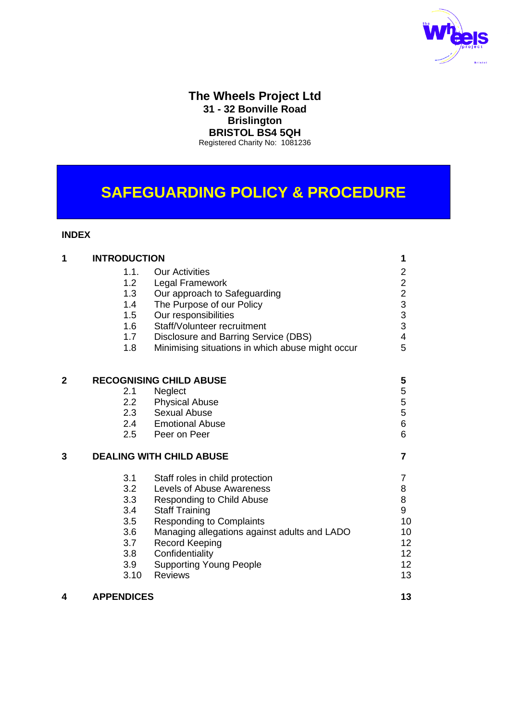

## **The Wheels Project Ltd 31 - 32 Bonville Road Brislington BRISTOL BS4 5QH** Registered Charity No: 1081236

# **SAFEGUARDING POLICY & PROCEDURE**

#### **INDEX**

| 1              | <b>INTRODUCTION</b>                                   |                                                                                                                                                                                                                                                          |                                                                                                                              |
|----------------|-------------------------------------------------------|----------------------------------------------------------------------------------------------------------------------------------------------------------------------------------------------------------------------------------------------------------|------------------------------------------------------------------------------------------------------------------------------|
|                | 1.1.<br>1.2<br>1.3<br>1.4<br>1.5<br>1.6<br>1.7<br>1.8 | <b>Our Activities</b><br>Legal Framework<br>Our approach to Safeguarding<br>The Purpose of our Policy<br>Our responsibilities<br>Staff/Volunteer recruitment<br>Disclosure and Barring Service (DBS)<br>Minimising situations in which abuse might occur | $\overline{\mathbf{c}}$<br>$\overline{2}$<br>$\begin{array}{c} 2 \\ 3 \\ 3 \\ 3 \end{array}$<br>$\overline{\mathbf{4}}$<br>5 |
| $\overline{2}$ | <b>RECOGNISING CHILD ABUSE</b>                        |                                                                                                                                                                                                                                                          | 5                                                                                                                            |
|                | 2.1                                                   | Neglect                                                                                                                                                                                                                                                  | 5                                                                                                                            |
|                | 2.2                                                   | <b>Physical Abuse</b>                                                                                                                                                                                                                                    | $\frac{5}{5}$                                                                                                                |
|                | 2.3                                                   | <b>Sexual Abuse</b>                                                                                                                                                                                                                                      |                                                                                                                              |
|                | 2.4                                                   | <b>Emotional Abuse</b>                                                                                                                                                                                                                                   | 6                                                                                                                            |
|                | 2.5                                                   | Peer on Peer                                                                                                                                                                                                                                             | 6                                                                                                                            |
| 3              | <b>DEALING WITH CHILD ABUSE</b>                       |                                                                                                                                                                                                                                                          | 7                                                                                                                            |
|                | 3.1                                                   | Staff roles in child protection                                                                                                                                                                                                                          | 7                                                                                                                            |
|                | 3.2                                                   | Levels of Abuse Awareness                                                                                                                                                                                                                                | 8                                                                                                                            |
|                | 3.3                                                   | <b>Responding to Child Abuse</b>                                                                                                                                                                                                                         | 8                                                                                                                            |
|                | 3.4                                                   | <b>Staff Training</b>                                                                                                                                                                                                                                    | 9                                                                                                                            |
|                | 3.5                                                   | <b>Responding to Complaints</b>                                                                                                                                                                                                                          | 10                                                                                                                           |
|                | 3.6                                                   | Managing allegations against adults and LADO                                                                                                                                                                                                             | 10                                                                                                                           |
|                | 3.7                                                   | <b>Record Keeping</b>                                                                                                                                                                                                                                    | 12                                                                                                                           |
|                | 3.8                                                   | Confidentiality                                                                                                                                                                                                                                          | 12                                                                                                                           |
|                | 3.9                                                   | <b>Supporting Young People</b>                                                                                                                                                                                                                           | 12                                                                                                                           |
|                | 3.10                                                  | <b>Reviews</b>                                                                                                                                                                                                                                           | 13                                                                                                                           |
| 4              | <b>APPENDICES</b>                                     |                                                                                                                                                                                                                                                          | 13                                                                                                                           |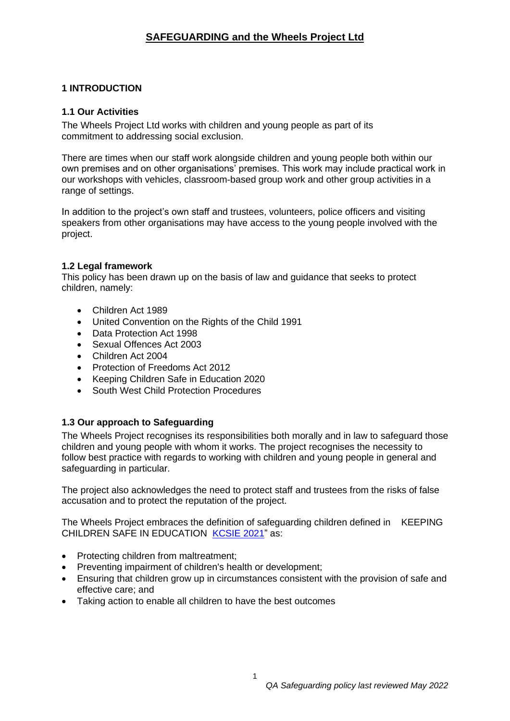#### **1 INTRODUCTION**

#### **1.1 Our Activities**

The Wheels Project Ltd works with children and young people as part of its commitment to addressing social exclusion.

There are times when our staff work alongside children and young people both within our own premises and on other organisations' premises. This work may include practical work in our workshops with vehicles, classroom-based group work and other group activities in a range of settings.

In addition to the project's own staff and trustees, volunteers, police officers and visiting speakers from other organisations may have access to the young people involved with the project.

#### **1.2 Legal framework**

This policy has been drawn up on the basis of law and guidance that seeks to protect children, namely:

- Children Act 1989
- United Convention on the Rights of the Child 1991
- Data Protection Act 1998
- Sexual Offences Act 2003
- Children Act 2004
- Protection of Freedoms Act 2012
- Keeping Children Safe in Education 2020
- South West Child Protection Procedures

## **1.3 Our approach to Safeguarding**

The Wheels Project recognises its responsibilities both morally and in law to safeguard those children and young people with whom it works. The project recognises the necessity to follow best practice with regards to working with children and young people in general and safeguarding in particular.

The project also acknowledges the need to protect staff and trustees from the risks of false accusation and to protect the reputation of the project.

The Wheels Project embraces the definition of safeguarding children defined in KEEPING CHILDREN SAFE IN EDUCATION [KCSIE 2021"](https://assets.publishing.service.gov.uk/government/uploads/system/uploads/attachment_data/file/1021914/KCSIE_2021_September_guidance.pdf) as:

- Protecting children from maltreatment;
- Preventing impairment of children's health or development;
- Ensuring that children grow up in circumstances consistent with the provision of safe and effective care; and
- Taking action to enable all children to have the best outcomes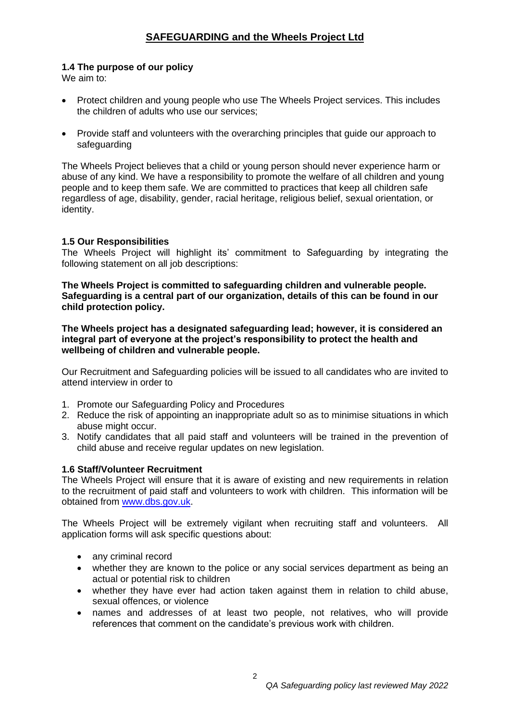#### **1.4 The purpose of our policy**

We aim to:

- Protect children and young people who use The Wheels Project services. This includes the children of adults who use our services;
- Provide staff and volunteers with the overarching principles that guide our approach to safeguarding

The Wheels Project believes that a child or young person should never experience harm or abuse of any kind. We have a responsibility to promote the welfare of all children and young people and to keep them safe. We are committed to practices that keep all children safe regardless of age, disability, gender, racial heritage, religious belief, sexual orientation, or identity.

#### **1.5 Our Responsibilities**

The Wheels Project will highlight its' commitment to Safeguarding by integrating the following statement on all job descriptions:

**The Wheels Project is committed to safeguarding children and vulnerable people. Safeguarding is a central part of our organization, details of this can be found in our child protection policy.**

**The Wheels project has a designated safeguarding lead; however, it is considered an integral part of everyone at the project's responsibility to protect the health and wellbeing of children and vulnerable people.**

Our Recruitment and Safeguarding policies will be issued to all candidates who are invited to attend interview in order to

- 1. Promote our Safeguarding Policy and Procedures
- 2. Reduce the risk of appointing an inappropriate adult so as to minimise situations in which abuse might occur.
- 3. Notify candidates that all paid staff and volunteers will be trained in the prevention of child abuse and receive regular updates on new legislation.

#### **1.6 Staff/Volunteer Recruitment**

The Wheels Project will ensure that it is aware of existing and new requirements in relation to the recruitment of paid staff and volunteers to work with children. This information will be obtained from [www.dbs.gov.uk.](http://www.dbs.gov.uk/)

The Wheels Project will be extremely vigilant when recruiting staff and volunteers. All application forms will ask specific questions about:

- any criminal record
- whether they are known to the police or any social services department as being an actual or potential risk to children
- whether they have ever had action taken against them in relation to child abuse, sexual offences, or violence
- names and addresses of at least two people, not relatives, who will provide references that comment on the candidate's previous work with children.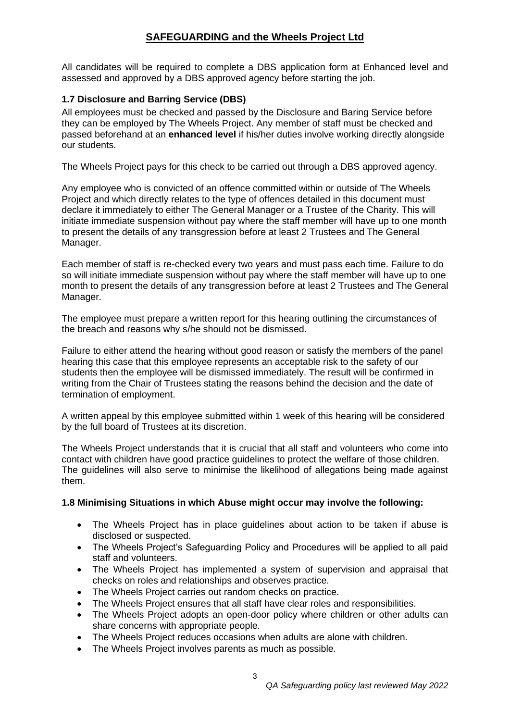All candidates will be required to complete a DBS application form at Enhanced level and assessed and approved by a DBS approved agency before starting the job.

## **1.7 Disclosure and Barring Service (DBS)**

All employees must be checked and passed by the Disclosure and Baring Service before they can be employed by The Wheels Project. Any member of staff must be checked and passed beforehand at an **enhanced level** if his/her duties involve working directly alongside our students.

The Wheels Project pays for this check to be carried out through a DBS approved agency.

Any employee who is convicted of an offence committed within or outside of The Wheels Project and which directly relates to the type of offences detailed in this document must declare it immediately to either The General Manager or a Trustee of the Charity. This will initiate immediate suspension without pay where the staff member will have up to one month to present the details of any transgression before at least 2 Trustees and The General Manager.

Each member of staff is re-checked every two years and must pass each time. Failure to do so will initiate immediate suspension without pay where the staff member will have up to one month to present the details of any transgression before at least 2 Trustees and The General Manager.

The employee must prepare a written report for this hearing outlining the circumstances of the breach and reasons why s/he should not be dismissed.

Failure to either attend the hearing without good reason or satisfy the members of the panel hearing this case that this employee represents an acceptable risk to the safety of our students then the employee will be dismissed immediately. The result will be confirmed in writing from the Chair of Trustees stating the reasons behind the decision and the date of termination of employment.

A written appeal by this employee submitted within 1 week of this hearing will be considered by the full board of Trustees at its discretion.

The Wheels Project understands that it is crucial that all staff and volunteers who come into contact with children have good practice guidelines to protect the welfare of those children. The guidelines will also serve to minimise the likelihood of allegations being made against them.

#### **1.8 Minimising Situations in which Abuse might occur may involve the following:**

- The Wheels Project has in place guidelines about action to be taken if abuse is disclosed or suspected.
- The Wheels Project's Safeguarding Policy and Procedures will be applied to all paid staff and volunteers.
- The Wheels Project has implemented a system of supervision and appraisal that checks on roles and relationships and observes practice.
- The Wheels Project carries out random checks on practice.
- The Wheels Project ensures that all staff have clear roles and responsibilities.
- The Wheels Project adopts an open-door policy where children or other adults can share concerns with appropriate people.
- The Wheels Project reduces occasions when adults are alone with children.
- The Wheels Project involves parents as much as possible.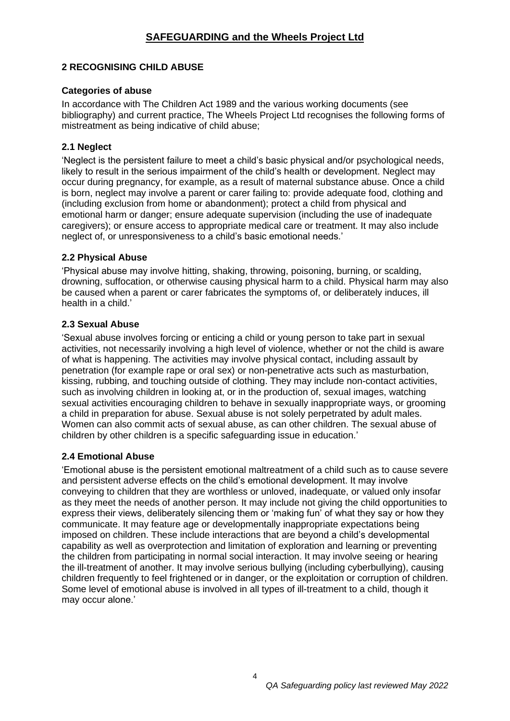#### **2 RECOGNISING CHILD ABUSE**

#### **Categories of abuse**

In accordance with The Children Act 1989 and the various working documents (see bibliography) and current practice, The Wheels Project Ltd recognises the following forms of mistreatment as being indicative of child abuse;

#### **2.1 Neglect**

'Neglect is the persistent failure to meet a child's basic physical and/or psychological needs, likely to result in the serious impairment of the child's health or development. Neglect may occur during pregnancy, for example, as a result of maternal substance abuse. Once a child is born, neglect may involve a parent or carer failing to: provide adequate food, clothing and (including exclusion from home or abandonment); protect a child from physical and emotional harm or danger; ensure adequate supervision (including the use of inadequate caregivers); or ensure access to appropriate medical care or treatment. It may also include neglect of, or unresponsiveness to a child's basic emotional needs.'

#### **2.2 Physical Abuse**

'Physical abuse may involve hitting, shaking, throwing, poisoning, burning, or scalding, drowning, suffocation, or otherwise causing physical harm to a child. Physical harm may also be caused when a parent or carer fabricates the symptoms of, or deliberately induces, ill health in a child.'

#### **2.3 Sexual Abuse**

'Sexual abuse involves forcing or enticing a child or young person to take part in sexual activities, not necessarily involving a high level of violence, whether or not the child is aware of what is happening. The activities may involve physical contact, including assault by penetration (for example rape or oral sex) or non-penetrative acts such as masturbation, kissing, rubbing, and touching outside of clothing. They may include non-contact activities, such as involving children in looking at, or in the production of, sexual images, watching sexual activities encouraging children to behave in sexually inappropriate ways, or grooming a child in preparation for abuse. Sexual abuse is not solely perpetrated by adult males. Women can also commit acts of sexual abuse, as can other children. The sexual abuse of children by other children is a specific safeguarding issue in education.'

## **2.4 Emotional Abuse**

'Emotional abuse is the persistent emotional maltreatment of a child such as to cause severe and persistent adverse effects on the child's emotional development. It may involve conveying to children that they are worthless or unloved, inadequate, or valued only insofar as they meet the needs of another person. It may include not giving the child opportunities to express their views, deliberately silencing them or 'making fun' of what they say or how they communicate. It may feature age or developmentally inappropriate expectations being imposed on children. These include interactions that are beyond a child's developmental capability as well as overprotection and limitation of exploration and learning or preventing the children from participating in normal social interaction. It may involve seeing or hearing the ill-treatment of another. It may involve serious bullying (including cyberbullying), causing children frequently to feel frightened or in danger, or the exploitation or corruption of children. Some level of emotional abuse is involved in all types of ill-treatment to a child, though it may occur alone.'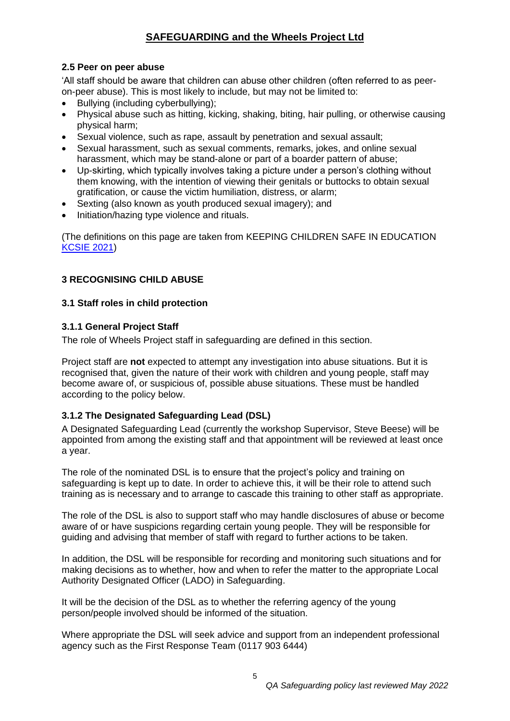## **2.5 Peer on peer abuse**

'All staff should be aware that children can abuse other children (often referred to as peeron-peer abuse). This is most likely to include, but may not be limited to:

- Bullying (including cyberbullying);
- Physical abuse such as hitting, kicking, shaking, biting, hair pulling, or otherwise causing physical harm;
- Sexual violence, such as rape, assault by penetration and sexual assault;
- Sexual harassment, such as sexual comments, remarks, jokes, and online sexual harassment, which may be stand-alone or part of a boarder pattern of abuse;
- Up-skirting, which typically involves taking a picture under a person's clothing without them knowing, with the intention of viewing their genitals or buttocks to obtain sexual gratification, or cause the victim humiliation, distress, or alarm;
- Sexting (also known as youth produced sexual imagery); and
- Initiation/hazing type violence and rituals.

(The definitions on this page are taken from KEEPING CHILDREN SAFE IN EDUCATION [KCSIE 2021\)](https://assets.publishing.service.gov.uk/government/uploads/system/uploads/attachment_data/file/1021914/KCSIE_2021_September_guidance.pdf)

## **3 RECOGNISING CHILD ABUSE**

#### **3.1 Staff roles in child protection**

#### **3.1.1 General Project Staff**

The role of Wheels Project staff in safeguarding are defined in this section.

Project staff are **not** expected to attempt any investigation into abuse situations. But it is recognised that, given the nature of their work with children and young people, staff may become aware of, or suspicious of, possible abuse situations. These must be handled according to the policy below.

## **3.1.2 The Designated Safeguarding Lead (DSL)**

A Designated Safeguarding Lead (currently the workshop Supervisor, Steve Beese) will be appointed from among the existing staff and that appointment will be reviewed at least once a year.

The role of the nominated DSL is to ensure that the project's policy and training on safeguarding is kept up to date. In order to achieve this, it will be their role to attend such training as is necessary and to arrange to cascade this training to other staff as appropriate.

The role of the DSL is also to support staff who may handle disclosures of abuse or become aware of or have suspicions regarding certain young people. They will be responsible for guiding and advising that member of staff with regard to further actions to be taken.

In addition, the DSL will be responsible for recording and monitoring such situations and for making decisions as to whether, how and when to refer the matter to the appropriate Local Authority Designated Officer (LADO) in Safeguarding.

It will be the decision of the DSL as to whether the referring agency of the young person/people involved should be informed of the situation.

Where appropriate the DSL will seek advice and support from an independent professional agency such as the First Response Team (0117 903 6444)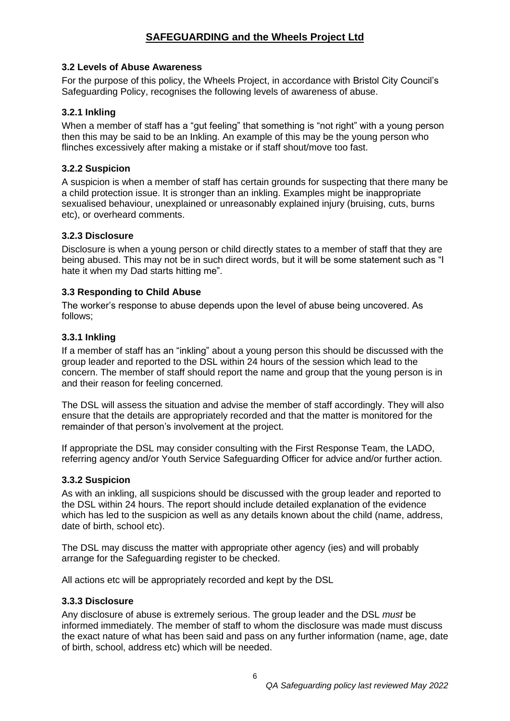#### **3.2 Levels of Abuse Awareness**

For the purpose of this policy, the Wheels Project, in accordance with Bristol City Council's Safeguarding Policy, recognises the following levels of awareness of abuse.

#### **3.2.1 Inkling**

When a member of staff has a "gut feeling" that something is "not right" with a young person then this may be said to be an Inkling. An example of this may be the young person who flinches excessively after making a mistake or if staff shout/move too fast.

#### **3.2.2 Suspicion**

A suspicion is when a member of staff has certain grounds for suspecting that there many be a child protection issue. It is stronger than an inkling. Examples might be inappropriate sexualised behaviour, unexplained or unreasonably explained injury (bruising, cuts, burns etc), or overheard comments.

#### **3.2.3 Disclosure**

Disclosure is when a young person or child directly states to a member of staff that they are being abused. This may not be in such direct words, but it will be some statement such as "I hate it when my Dad starts hitting me".

#### **3.3 Responding to Child Abuse**

The worker's response to abuse depends upon the level of abuse being uncovered. As follows;

#### **3.3.1 Inkling**

If a member of staff has an "inkling" about a young person this should be discussed with the group leader and reported to the DSL within 24 hours of the session which lead to the concern. The member of staff should report the name and group that the young person is in and their reason for feeling concerned.

The DSL will assess the situation and advise the member of staff accordingly. They will also ensure that the details are appropriately recorded and that the matter is monitored for the remainder of that person's involvement at the project.

If appropriate the DSL may consider consulting with the First Response Team, the LADO, referring agency and/or Youth Service Safeguarding Officer for advice and/or further action.

#### **3.3.2 Suspicion**

As with an inkling, all suspicions should be discussed with the group leader and reported to the DSL within 24 hours. The report should include detailed explanation of the evidence which has led to the suspicion as well as any details known about the child (name, address, date of birth, school etc).

The DSL may discuss the matter with appropriate other agency (ies) and will probably arrange for the Safeguarding register to be checked.

All actions etc will be appropriately recorded and kept by the DSL

#### **3.3.3 Disclosure**

Any disclosure of abuse is extremely serious. The group leader and the DSL *must* be informed immediately. The member of staff to whom the disclosure was made must discuss the exact nature of what has been said and pass on any further information (name, age, date of birth, school, address etc) which will be needed.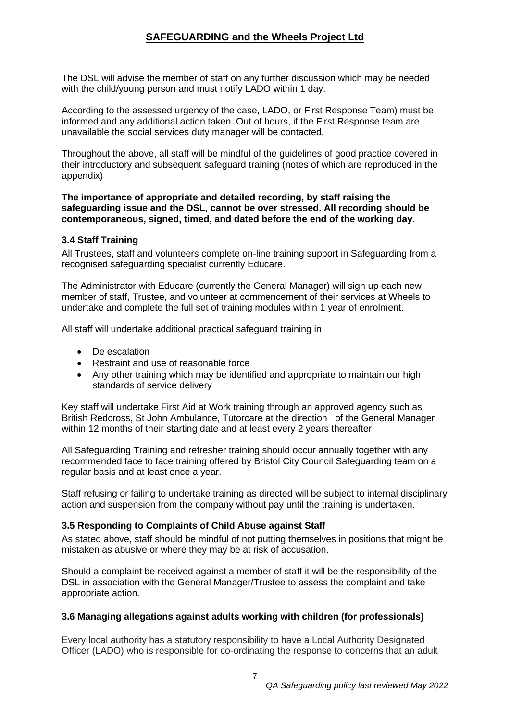The DSL will advise the member of staff on any further discussion which may be needed with the child/young person and must notify LADO within 1 day.

According to the assessed urgency of the case, LADO, or First Response Team) must be informed and any additional action taken. Out of hours, if the First Response team are unavailable the social services duty manager will be contacted.

Throughout the above, all staff will be mindful of the guidelines of good practice covered in their introductory and subsequent safeguard training (notes of which are reproduced in the appendix)

#### **The importance of appropriate and detailed recording, by staff raising the safeguarding issue and the DSL, cannot be over stressed. All recording should be contemporaneous, signed, timed, and dated before the end of the working day.**

#### **3.4 Staff Training**

All Trustees, staff and volunteers complete on-line training support in Safeguarding from a recognised safeguarding specialist currently Educare.

The Administrator with Educare (currently the General Manager) will sign up each new member of staff, Trustee, and volunteer at commencement of their services at Wheels to undertake and complete the full set of training modules within 1 year of enrolment.

All staff will undertake additional practical safeguard training in

- De escalation
- Restraint and use of reasonable force
- Any other training which may be identified and appropriate to maintain our high standards of service delivery

Key staff will undertake First Aid at Work training through an approved agency such as British Redcross, St John Ambulance, Tutorcare at the direction of the General Manager within 12 months of their starting date and at least every 2 years thereafter.

All Safeguarding Training and refresher training should occur annually together with any recommended face to face training offered by Bristol City Council Safeguarding team on a regular basis and at least once a year.

Staff refusing or failing to undertake training as directed will be subject to internal disciplinary action and suspension from the company without pay until the training is undertaken.

#### **3.5 Responding to Complaints of Child Abuse against Staff**

As stated above, staff should be mindful of not putting themselves in positions that might be mistaken as abusive or where they may be at risk of accusation.

Should a complaint be received against a member of staff it will be the responsibility of the DSL in association with the General Manager/Trustee to assess the complaint and take appropriate action.

#### **3.6 Managing allegations against adults working with children (for professionals)**

Every local authority has a statutory responsibility to have a Local Authority Designated Officer (LADO) who is responsible for co-ordinating the response to concerns that an adult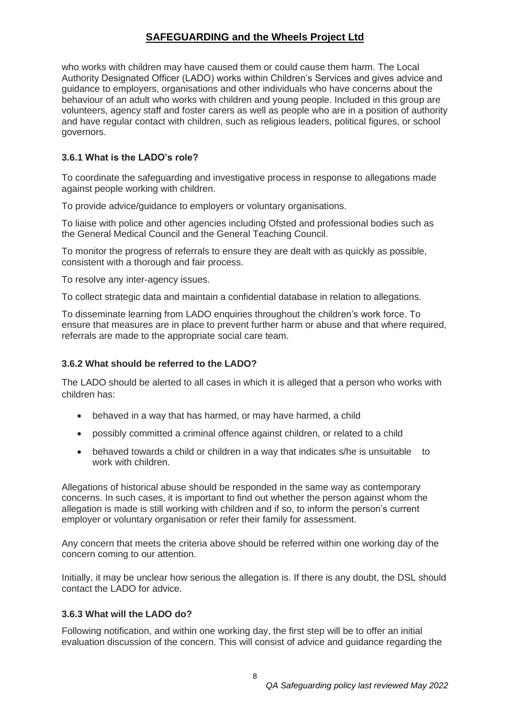who works with children may have caused them or could cause them harm. The Local Authority Designated Officer (LADO) works within Children's Services and gives advice and guidance to employers, organisations and other individuals who have concerns about the behaviour of an adult who works with children and young people. Included in this group are volunteers, agency staff and foster carers as well as people who are in a position of authority and have regular contact with children, such as religious leaders, political figures, or school governors.

## **3.6.1 What is the LADO's role?**

To coordinate the safeguarding and investigative process in response to allegations made against people working with children.

To provide advice/guidance to employers or voluntary organisations.

To liaise with police and other agencies including Ofsted and professional bodies such as the General Medical Council and the General Teaching Council.

To monitor the progress of referrals to ensure they are dealt with as quickly as possible, consistent with a thorough and fair process.

To resolve any inter-agency issues.

To collect strategic data and maintain a confidential database in relation to allegations.

To disseminate learning from LADO enquiries throughout the children's work force. To ensure that measures are in place to prevent further harm or abuse and that where required, referrals are made to the appropriate social care team.

## **3.6.2 What should be referred to the LADO?**

The LADO should be alerted to all cases in which it is alleged that a person who works with children has:

- behaved in a way that has harmed, or may have harmed, a child
- possibly committed a criminal offence against children, or related to a child
- behaved towards a child or children in a way that indicates s/he is unsuitable to work with children.

Allegations of historical abuse should be responded in the same way as contemporary concerns. In such cases, it is important to find out whether the person against whom the allegation is made is still working with children and if so, to inform the person's current employer or voluntary organisation or refer their family for assessment.

Any concern that meets the criteria above should be referred within one working day of the concern coming to our attention.

Initially, it may be unclear how serious the allegation is. If there is any doubt, the DSL should contact the LADO for advice.

## **3.6.3 What will the LADO do?**

Following notification, and within one working day, the first step will be to offer an initial evaluation discussion of the concern. This will consist of advice and guidance regarding the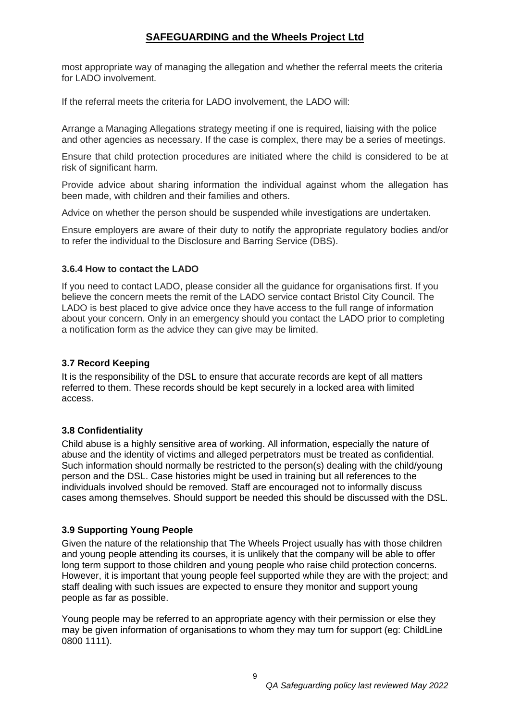most appropriate way of managing the allegation and whether the referral meets the criteria for LADO involvement.

If the referral meets the criteria for LADO involvement, the LADO will:

Arrange a Managing Allegations strategy meeting if one is required, liaising with the police and other agencies as necessary. If the case is complex, there may be a series of meetings.

Ensure that child protection procedures are initiated where the child is considered to be at risk of significant harm.

Provide advice about sharing information the individual against whom the allegation has been made, with children and their families and others.

Advice on whether the person should be suspended while investigations are undertaken.

Ensure employers are aware of their duty to notify the appropriate regulatory bodies and/or to refer the individual to the Disclosure and Barring Service (DBS).

#### **3.6.4 How to contact the LADO**

If you need to contact LADO, please consider all the guidance for organisations first. If you believe the concern meets the remit of the LADO service contact Bristol City Council. The LADO is best placed to give advice once they have access to the full range of information about your concern. Only in an emergency should you contact the LADO prior to completing a notification form as the advice they can give may be limited.

#### **3.7 Record Keeping**

It is the responsibility of the DSL to ensure that accurate records are kept of all matters referred to them. These records should be kept securely in a locked area with limited access.

## **3.8 Confidentiality**

Child abuse is a highly sensitive area of working. All information, especially the nature of abuse and the identity of victims and alleged perpetrators must be treated as confidential. Such information should normally be restricted to the person(s) dealing with the child/young person and the DSL. Case histories might be used in training but all references to the individuals involved should be removed. Staff are encouraged not to informally discuss cases among themselves. Should support be needed this should be discussed with the DSL.

## **3.9 Supporting Young People**

Given the nature of the relationship that The Wheels Project usually has with those children and young people attending its courses, it is unlikely that the company will be able to offer long term support to those children and young people who raise child protection concerns. However, it is important that young people feel supported while they are with the project; and staff dealing with such issues are expected to ensure they monitor and support young people as far as possible.

Young people may be referred to an appropriate agency with their permission or else they may be given information of organisations to whom they may turn for support (eg: ChildLine 0800 1111).